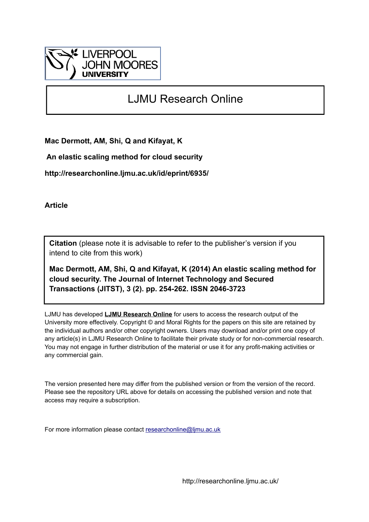

# LJMU Research Online

**Mac Dermott, AM, Shi, Q and Kifayat, K**

 **An elastic scaling method for cloud security**

**http://researchonline.ljmu.ac.uk/id/eprint/6935/**

**Article**

**Citation** (please note it is advisable to refer to the publisher's version if you intend to cite from this work)

**Mac Dermott, AM, Shi, Q and Kifayat, K (2014) An elastic scaling method for cloud security. The Journal of Internet Technology and Secured Transactions (JITST), 3 (2). pp. 254-262. ISSN 2046-3723** 

LJMU has developed **[LJMU Research Online](http://researchonline.ljmu.ac.uk/)** for users to access the research output of the University more effectively. Copyright © and Moral Rights for the papers on this site are retained by the individual authors and/or other copyright owners. Users may download and/or print one copy of any article(s) in LJMU Research Online to facilitate their private study or for non-commercial research. You may not engage in further distribution of the material or use it for any profit-making activities or any commercial gain.

The version presented here may differ from the published version or from the version of the record. Please see the repository URL above for details on accessing the published version and note that access may require a subscription.

For more information please contact [researchonline@ljmu.ac.uk](mailto:researchonline@ljmu.ac.uk)

http://researchonline.ljmu.ac.uk/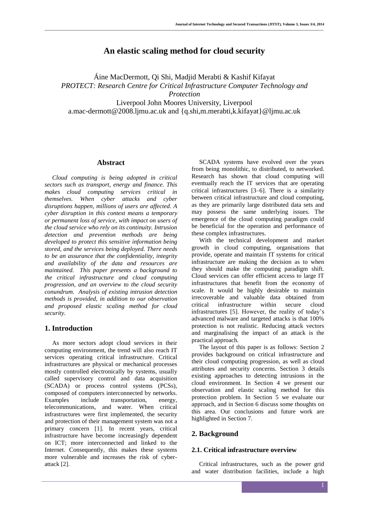# **An elastic scaling method for cloud security**

**\_\_\_\_\_\_\_\_\_\_\_\_\_\_\_\_\_\_\_\_\_\_\_\_\_\_\_\_\_\_\_\_\_\_\_\_\_\_\_\_\_\_\_\_\_\_\_\_\_\_\_\_\_\_\_\_\_\_\_\_\_\_\_\_\_\_\_\_\_\_\_\_\_\_\_\_\_\_\_\_\_\_\_\_\_\_\_\_\_\_\_\_\_\_\_\_\_\_\_\_\_\_\_\_\_\_\_\_\_\_\_\_\_\_\_\_\_\_\_\_\_\_\_\_\_\_\_\_\_\_\_\_\_\_\_\_\_\_\_\_\_\_\_\_\_\_\_\_\_\_**

Áine MacDermott, Qi Shi, Madjid Merabti & Kashif Kifayat *PROTECT: Research Centre for Critical Infrastructure Computer Technology and Protection* Liverpool John Moores University, Liverpool

[a.mac-dermott@2008.ljmu.ac.uk](mailto:a.mac-dermott@2008.ljmu.ac.uk) and {q.shi,m.merabti,k.kifayat}@ljmu.ac.uk

### **Abstract**

*Cloud computing is being adopted in critical sectors such as transport, energy and finance. This makes cloud computing services critical in themselves. When cyber attacks and cyber disruptions happen, millions of users are affected. A cyber disruption in this context means a temporary or permanent loss of service, with impact on users of the cloud service who rely on its continuity. Intrusion detection and prevention methods are being developed to protect this sensitive information being stored, and the services being deployed. There needs to be an assurance that the confidentiality, integrity and availability of the data and resources are maintained. This paper presents a background to the critical infrastructure and cloud computing progression, and an overview to the cloud security conundrum. Analysis of existing intrusion detection methods is provided, in addition to our observation and proposed elastic scaling method for cloud security.*

## **1. Introduction**

As more sectors adopt cloud services in their computing environment, the trend will also reach IT services operating critical infrastructure. Critical infrastructures are physical or mechanical processes mostly controlled electronically by systems, usually called supervisory control and data acquisition (SCADA) or process control systems (PCSs), composed of computers interconnected by networks. Examples include transportation, energy, telecommunications, and water. When critical infrastructures were first implemented, the security and protection of their management system was not a primary concern [1]. In recent years, critical infrastructure have become increasingly dependent on ICT; more interconnected and linked to the Internet. Consequently, this makes these systems more vulnerable and increases the risk of cyberattack [2].

SCADA systems have evolved over the years from being monolithic, to distributed, to networked. Research has shown that cloud computing will eventually reach the IT services that are operating critical infrastructures [3–6]. There is a similarity between critical infrastructure and cloud computing, as they are primarily large distributed data sets and may possess the same underlying issues. The emergence of the cloud computing paradigm could be beneficial for the operation and performance of these complex infrastructures.

With the technical development and market growth in cloud computing, organisations that provide, operate and maintain IT systems for critical infrastructure are making the decision as to when they should make the computing paradigm shift. Cloud services can offer efficient access to large IT infrastructures that benefit from the economy of scale. It would be highly desirable to maintain irrecoverable and valuable data obtained from critical infrastructure within secure cloud infrastructures [5]. However, the reality of today's advanced malware and targeted attacks is that 100% protection is not realistic. Reducing attack vectors and marginalising the impact of an attack is the practical approach.

The layout of this paper is as follows: Section 2 provides background on critical infrastructure and their cloud computing progression, as well as cloud attributes and security concerns. Section 3 details existing approaches to detecting intrusions in the cloud environment. In Section 4 we present our observation and elastic scaling method for this protection problem. In Section 5 we evaluate our approach, and in Section 6 discuss some thoughts on this area. Our conclusions and future work are highlighted in Section 7.

# **2. Background**

## **2.1. Critical infrastructure overview**

Critical infrastructures, such as the power grid and water distribution facilities, include a high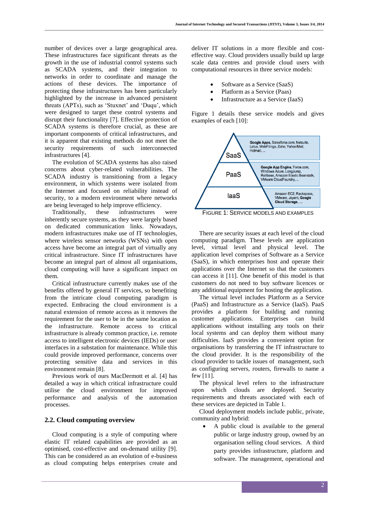number of devices over a large geographical area. These infrastructures face significant threats as the growth in the use of industrial control systems such as SCADA systems, and their integration to networks in order to coordinate and manage the actions of these devices. The importance of protecting these infrastructures has been particularly highlighted by the increase in advanced persistent threats (APTs), such as 'Stuxnet' and 'Duqu', which were designed to target these control systems and disrupt their functionality [7]. Effective protection of SCADA systems is therefore crucial, as these are important components of critical infrastructures, and it is apparent that existing methods do not meet the security requirements of such interconnected infrastructures [4].

The evolution of SCADA systems has also raised concerns about cyber-related vulnerabilities. The SCADA industry is transitioning from a legacy environment, in which systems were isolated from the Internet and focused on reliability instead of security, to a modern environment where networks are being leveraged to help improve efficiency.

Traditionally, these infrastructures were inherently secure systems, as they were largely based on dedicated communication links. Nowadays, modern infrastructures make use of IT technologies, where wireless sensor networks (WSNs) with open access have become an integral part of virtually any critical infrastructure. Since IT infrastructures have become an integral part of almost all organisations, cloud computing will have a significant impact on them.

Critical infrastructure currently makes use of the benefits offered by general IT services, so benefiting from the intricate cloud computing paradigm is expected. Embracing the cloud environment is a natural extension of remote access as it removes the requirement for the user to be in the same location as the infrastructure. Remote access to critical infrastructure is already common practice, i.e. remote access to intelligent electronic devices (IEDs) or user interfaces in a substation for maintenance. While this could provide improved performance, concerns over protecting sensitive data and services in this environment remain [8].

Previous work of ours MacDermott et al. [4] has detailed a way in which critical infrastructure could utilise the cloud environment for improved performance and analysis of the automation processes.

### **2.2. Cloud computing overview**

Cloud computing is a style of computing where elastic IT related capabilities are provided as an optimised, cost-effective and on-demand utility [9]. This can be considered as an evolution of e-business as cloud computing helps enterprises create and

deliver IT solutions in a more flexible and costeffective way. Cloud providers usually build up large scale data centres and provide cloud users with computational resources in three service models:

- Software as a Service (SaaS)
- Platform as a Service (Paas)
- Infrastructure as a Service (IaaS)

Figure 1 details these service models and gives examples of each [10]:



There are security issues at each level of the cloud computing paradigm. These levels are application level, virtual level and physical level. The application level comprises of Software as a Service (SaaS), in which enterprises host and operate their applications over the Internet so that the customers can access it [11]. One benefit of this model is that customers do not need to buy software licences or any additional equipment for hosting the application.

The virtual level includes Platform as a Service (PaaS) and Infrastructure as a Service (IaaS). PaaS provides a platform for building and running customer applications. Enterprises can build applications without installing any tools on their local systems and can deploy them without many difficulties. IaaS provides a convenient option for organisations by transferring the IT infrastructure to the cloud provider. It is the responsibility of the cloud provider to tackle issues of management, such as configuring servers, routers, firewalls to name a few [11].

The physical level refers to the infrastructure upon which clouds are deployed. Security requirements and threats associated with each of these services are depicted in Table 1.

Cloud deployment models include public, private, community and hybrid:

 A public cloud is available to the general public or large industry group, owned by an organisation selling cloud services. A third party provides infrastructure, platform and software. The management, operational and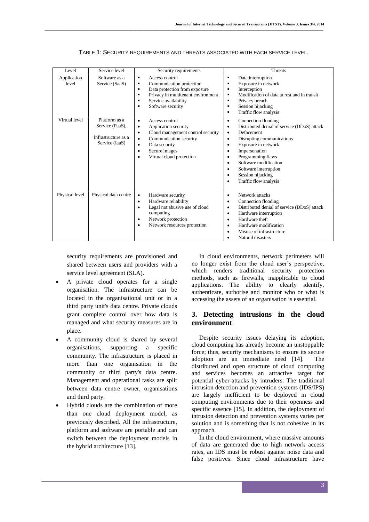| Level                | Service level                                                             | Security requirements                                                                                                                                                                                                                                          | <b>Threats</b>                                                                                                                                                                                                                                                                                                                            |
|----------------------|---------------------------------------------------------------------------|----------------------------------------------------------------------------------------------------------------------------------------------------------------------------------------------------------------------------------------------------------------|-------------------------------------------------------------------------------------------------------------------------------------------------------------------------------------------------------------------------------------------------------------------------------------------------------------------------------------------|
| Application<br>level | Software as a<br>Service (SaaS)                                           | Access control<br>٠<br>Communication protection<br>٠<br>Data protection from exposure<br>٠<br>Privacy in multitenant environment<br>٠<br>Service availability<br>٠<br>Software security                                                                        | Data interruption<br>٠<br>Exposure in network<br>٠<br>Interception<br>п<br>Modification of data at rest and in transit<br>٠<br>Privacy breach<br>٠<br>Session hijacking<br>٠<br>Traffic flow analysis<br>٠                                                                                                                                |
| Virtual level        | Platform as a<br>Service (PaaS),<br>Infrastructure as a<br>Service (IaaS) | Access control<br>$\bullet$<br>Application security<br>$\bullet$<br>Cloud management control security<br>$\bullet$<br>Communication security<br>$\bullet$<br>Data security<br>$\bullet$<br>Secure images<br>$\bullet$<br>Virtual cloud protection<br>$\bullet$ | Connection flooding<br>٠<br>Distributed denial of service (DDoS) attack<br>$\bullet$<br>Defacement<br>٠<br>Disrupting communications<br>٠<br>Exposure in network<br>٠<br>Impersonation<br>٠<br>Programming flaws<br>٠<br>Software modification<br>٠<br>Software interruption<br>٠<br>Session hijacking<br>٠<br>Traffic flow analysis<br>٠ |
| Physical level       | Physical data centre                                                      | Hardware security<br>$\bullet$<br>Hardware reliability<br>٠<br>Legal not abusive use of cloud<br>$\bullet$<br>computing<br>Network protection<br>$\bullet$<br>Network resources protection<br>$\bullet$                                                        | Network attacks<br>$\bullet$<br>Connection flooding<br>٠<br>Distributed denial of service (DDoS) attack<br>$\bullet$<br>Hardware interruption<br>٠<br>Hardware theft<br>$\bullet$<br>Hardware modification<br>$\bullet$<br>Misuse of infrastructure<br>٠<br>Natural disasters                                                             |

| TABLE 1: SECURITY REQUIREMENTS AND THREATS ASSOCIATED WITH EACH SERVICE LEVEL. |  |
|--------------------------------------------------------------------------------|--|
|--------------------------------------------------------------------------------|--|

security requirements are provisioned and shared between users and providers with a service level agreement (SLA).

- A private cloud operates for a single organisation. The infrastructure can be located in the organisational unit or in a third party unit's data centre. Private clouds grant complete control over how data is managed and what security measures are in place.
- A community cloud is shared by several organisations, supporting a specific community. The infrastructure is placed in more than one organisation in the community or third party's data centre. Management and operational tasks are split between data centre owner, organisations and third party.
- Hybrid clouds are the combination of more than one cloud deployment model, as previously described. All the infrastructure, platform and software are portable and can switch between the deployment models in the hybrid architecture [13].

In cloud environments, network perimeters will no longer exist from the cloud user's perspective, which renders traditional security protection methods, such as firewalls, inapplicable to cloud applications. The ability to clearly identify, authenticate, authorise and monitor who or what is accessing the assets of an organisation is essential.

# **3. Detecting intrusions in the cloud environment**

Despite security issues delaying its adoption, cloud computing has already become an unstoppable force; thus, security mechanisms to ensure its secure adoption are an immediate need [14]. The distributed and open structure of cloud computing and services becomes an attractive target for potential cyber-attacks by intruders. The traditional intrusion detection and prevention systems (IDS/IPS) are largely inefficient to be deployed in cloud computing environments due to their openness and specific essence [15]. In addition, the deployment of intrusion detection and prevention systems varies per solution and is something that is not cohesive in its approach.

In the cloud environment, where massive amounts of data are generated due to high network access rates, an IDS must be robust against noise data and false positives. Since cloud infrastructure have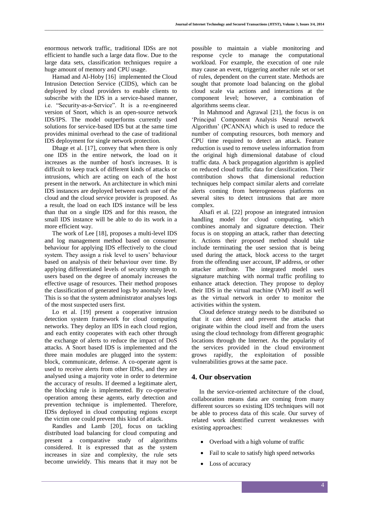enormous network traffic, traditional IDSs are not efficient to handle such a large data flow. Due to the large data sets, classification techniques require a huge amount of memory and CPU usage.

Hamad and Al-Hoby [16] implemented the Cloud Intrusion Detection Service (CIDS), which can be deployed by cloud providers to enable clients to subscribe with the IDS in a service-based manner, i.e. "Security-as-a-Service". It is a re-engineered version of Snort, which is an open-source network IDS/IPS. The model outperforms currently used solutions for service-based IDS but at the same time provides minimal overhead to the case of traditional IDS deployment for single network protection.

Dhage et al. [17], convey that when there is only one IDS in the entire network, the load on it increases as the number of host's increases. It is difficult to keep track of different kinds of attacks or intrusions, which are acting on each of the host present in the network. An architecture in which mini IDS instances are deployed between each user of the cloud and the cloud service provider is proposed. As a result, the load on each IDS instance will be less than that on a single IDS and for this reason, the small IDS instance will be able to do its work in a more efficient way.

The work of Lee [18], proposes a multi-level IDS and log management method based on consumer behaviour for applying IDS effectively to the cloud system. They assign a risk level to users' behaviour based on analysis of their behaviour over time. By applying differentiated levels of security strength to users based on the degree of anomaly increases the effective usage of resources. Their method proposes the classification of generated logs by anomaly level. This is so that the system administrator analyses logs of the most suspected users first.

Lo et al. [19] present a cooperative intrusion detection system framework for cloud computing networks. They deploy an IDS in each cloud region, and each entity cooperates with each other through the exchange of alerts to reduce the impact of DoS attacks. A Snort based IDS is implemented and the three main modules are plugged into the system: block, communicate, defense. A co-operate agent is used to receive alerts from other IDSs, and they are analysed using a majority vote in order to determine the accuracy of results. If deemed a legitimate alert, the blocking rule is implemented. By co-operative operation among these agents, early detection and prevention technique is implemented. Therefore, IDSs deployed in cloud computing regions except the victim one could prevent this kind of attack.

Randles and Lamb [20], focus on tackling distributed load balancing for cloud computing and present a comparative study of algorithms considered. It is expressed that as the system increases in size and complexity, the rule sets become unwieldy. This means that it may not be

possible to maintain a viable monitoring and response cycle to manage the computational workload. For example, the execution of one rule may cause an event, triggering another rule set or set of rules, dependent on the current state. Methods are sought that promote load balancing on the global cloud scale via actions and interactions at the component level; however, a combination of algorithms seems clear.

In Mahmood and Agrawal [21], the focus is on 'Principal Component Analysis Neural network Algorithm' (PCANNA) which is used to reduce the number of computing resources, both memory and CPU time required to detect an attack. Feature reduction is used to remove useless information from the original high dimensional database of cloud traffic data. A back propagation algorithm is applied on reduced cloud traffic data for classification. Their contribution shows that dimensional reduction techniques help compact similar alerts and correlate alerts coming from heterogeneous platforms on several sites to detect intrusions that are more complex.

Alsafi et al. [22] propose an integrated intrusion handling model for cloud computing, which combines anomaly and signature detection. Their focus is on stopping an attack, rather than detecting it. Actions their proposed method should take include terminating the user session that is being used during the attack, block access to the target from the offending user account, IP address, or other attacker attribute. The integrated model uses signature matching with normal traffic profiling to enhance attack detection. They propose to deploy their IDS in the virtual machine (VM) itself as well as the virtual network in order to monitor the activities within the system.

Cloud defence strategy needs to be distributed so that it can detect and prevent the attacks that originate within the cloud itself and from the users using the cloud technology from different geographic locations through the Internet. As the popularity of the services provided in the cloud environment grows rapidly, the exploitation of possible vulnerabilities grows at the same pace.

## **4. Our observation**

In the service-oriented architecture of the cloud, collaboration means data are coming from many different sources so existing IDS techniques will not be able to process data of this scale. Our survey of related work identified current weaknesses with existing approaches:

- Overload with a high volume of traffic
- Fail to scale to satisfy high speed networks
- Loss of accuracy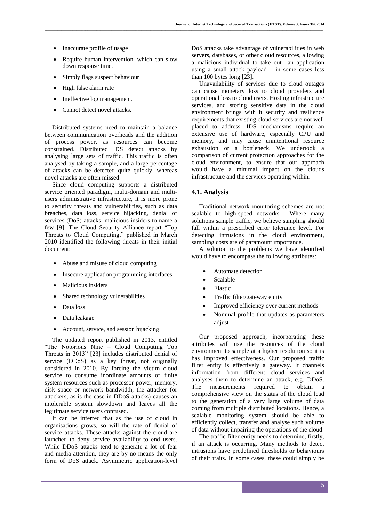- Inaccurate profile of usage
- Require human intervention, which can slow down response time.
- Simply flags suspect behaviour
- High false alarm rate
- Ineffective log management.
- Cannot detect novel attacks.

Distributed systems need to maintain a balance between communication overheads and the addition of process power, as resources can become constrained. Distributed IDS detect attacks by analysing large sets of traffic. This traffic is often analysed by taking a sample, and a large percentage of attacks can be detected quite quickly, whereas novel attacks are often missed.

Since cloud computing supports a distributed service oriented paradigm, multi-domain and multiusers administrative infrastructure, it is more prone to security threats and vulnerabilities, such as data breaches, data loss, service hijacking, denial of services (DoS) attacks, malicious insiders to name a few [9]. The Cloud Security Alliance report "Top Threats to Cloud Computing," published in March 2010 identified the following threats in their initial document:

- Abuse and misuse of cloud computing
- Insecure application programming interfaces
- Malicious insiders
- Shared technology vulnerabilities
- Data loss
- Data leakage
- Account, service, and session hijacking

The updated report published in 2013, entitled "The Notorious Nine – Cloud Computing Top Threats in 2013" [23] includes distributed denial of service (DDoS) as a key threat, not originally considered in 2010. By forcing the victim cloud service to consume inordinate amounts of finite system resources such as processor power, memory, disk space or network bandwidth, the attacker (or attackers, as is the case in DDoS attacks) causes an intolerable system slowdown and leaves all the legitimate service users confused.

It can be inferred that as the use of cloud in organisations grows, so will the rate of denial of service attacks. These attacks against the cloud are launched to deny service availability to end users. While DDoS attacks tend to generate a lot of fear and media attention, they are by no means the only form of DoS attack. Asymmetric application-level DoS attacks take advantage of vulnerabilities in web servers, databases, or other cloud resources, allowing a malicious individual to take out an application using a small attack payload – in some cases less than 100 bytes long [23].

Unavailability of services due to cloud outages can cause monetary loss to cloud providers and operational loss to cloud users. Hosting infrastructure services, and storing sensitive data in the cloud environment brings with it security and resilience requirements that existing cloud services are not well placed to address. IDS mechanisms require an extensive use of hardware, especially CPU and memory, and may cause unintentional resource exhaustion or a bottleneck. We undertook a comparison of current protection approaches for the cloud environment, to ensure that our approach would have a minimal impact on the clouds infrastructure and the services operating within.

#### **4.1. Analysis**

**\_\_\_\_\_\_\_\_\_\_\_\_\_\_\_\_\_\_\_\_\_\_\_\_\_\_\_\_\_\_\_\_\_\_\_\_\_\_\_\_\_\_\_\_\_\_\_\_\_\_\_\_\_\_\_\_\_\_\_\_\_\_\_\_\_\_\_\_\_\_\_\_\_\_\_\_\_\_\_\_\_\_\_\_\_\_\_\_\_\_\_\_\_\_\_\_\_\_\_\_\_\_\_\_\_\_\_\_\_\_\_\_\_\_\_\_\_\_\_\_\_\_\_\_\_\_\_\_\_\_\_\_\_\_\_\_\_\_\_\_\_\_\_\_\_\_\_\_\_\_**

Traditional network monitoring schemes are not<br>lable to high-speed networks. Where many scalable to high-speed networks. solutions sample traffic, we believe sampling should fall within a prescribed error tolerance level. For detecting intrusions in the cloud environment, sampling costs are of paramount importance.

A solution to the problems we have identified would have to encompass the following attributes:

- Automate detection
- Scalable
- Elastic
- Traffic filter/gateway entity
- Improved efficiency over current methods
- Nominal profile that updates as parameters adjust

Our proposed approach, incorporating these attributes will use the resources of the cloud environment to sample at a higher resolution so it is has improved effectiveness. Our proposed traffic filter entity is effectively a gateway. It channels information from different cloud services and analyses them to determine an attack, e.g. DDoS. The measurements required to obtain a comprehensive view on the status of the cloud lead to the generation of a very large volume of data coming from multiple distributed locations. Hence, a scalable monitoring system should be able to efficiently collect, transfer and analyse such volume of data without impairing the operations of the cloud.

The traffic filter entity needs to determine, firstly, if an attack is occurring. Many methods to detect intrusions have predefined thresholds or behaviours of their traits. In some cases, these could simply be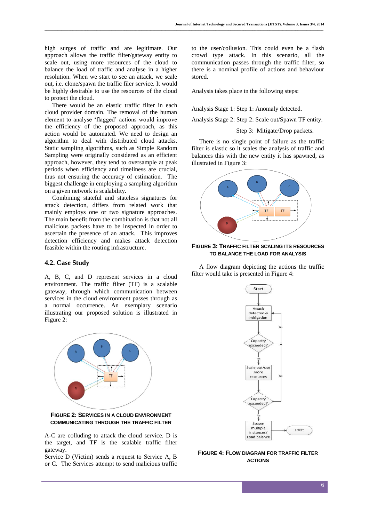high surges of traffic and are legitimate. Our approach allows the traffic filter/gateway entity to scale out, using more resources of the cloud to balance the load of traffic and analyse in a higher resolution. When we start to see an attack, we scale out, i.e. clone/spawn the traffic filer service. It would be highly desirable to use the resources of the cloud to protect the cloud.

There would be an elastic traffic filter in each cloud provider domain. The removal of the human element to analyse 'flagged' actions would improve the efficiency of the proposed approach, as this action would be automated. We need to design an algorithm to deal with distributed cloud attacks. Static sampling algorithms, such as Simple Random Sampling were originally considered as an efficient approach, however, they tend to oversample at peak periods when efficiency and timeliness are crucial, thus not ensuring the accuracy of estimation. The biggest challenge in employing a sampling algorithm on a given network is scalability.

Combining stateful and stateless signatures for attack detection, differs from related work that mainly employs one or two signature approaches. The main benefit from the combination is that not all malicious packets have to be inspected in order to ascertain the presence of an attack. This improves detection efficiency and makes attack detection feasible within the routing infrastructure.

#### **4.2. Case Study**

A, B, C, and D represent services in a cloud environment. The traffic filter (TF) is a scalable gateway, through which communication between services in the cloud environment passes through as a normal occurrence. An exemplary scenario illustrating our proposed solution is illustrated in Figure 2:



**FIGURE 2: SERVICES IN A CLOUD ENVIRONMENT COMMUNICATING THROUGH THE TRAFFIC FILTER**

A-C are colluding to attack the cloud service. D is the target, and TF is the scalable traffic filter gateway.

Service D (Victim) sends a request to Service A, B or C. The Services attempt to send malicious traffic to the user/collusion. This could even be a flash crowd type attack. In this scenario, all the communication passes through the traffic filter, so there is a nominal profile of actions and behaviour stored.

Analysis takes place in the following steps:

Analysis Stage 1: Step 1: Anomaly detected.

Analysis Stage 2: Step 2: Scale out/Spawn TF entity.

Step 3: Mitigate/Drop packets.

There is no single point of failure as the traffic filter is elastic so it scales the analysis of traffic and balances this with the new entity it has spawned, as illustrated in Figure 3:



**FIGURE 3: TRAFFIC FILTER SCALING ITS RESOURCES TO BALANCE THE LOAD FOR ANALYSIS**

A flow diagram depicting the actions the traffic filter would take is presented in Figure 4:



**FIGURE 4: FLOW DIAGRAM FOR TRAFFIC FILTER ACTIONS**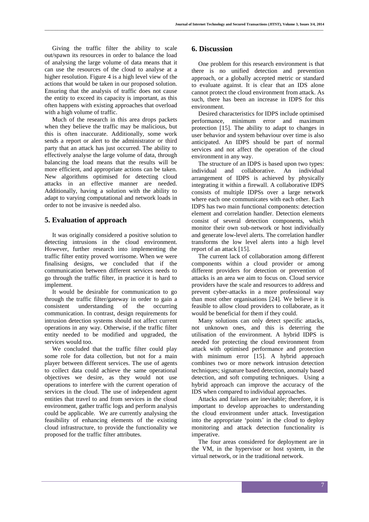Giving the traffic filter the ability to scale out/spawn its resources in order to balance the load of analysing the large volume of data means that it can use the resources of the cloud to analyse at a higher resolution. Figure 4 is a high level view of the actions that would be taken in our proposed solution. Ensuring that the analysis of traffic does not cause the entity to exceed its capacity is important, as this often happens with existing approaches that overload with a high volume of traffic.

Much of the research in this area drops packets when they believe the traffic may be malicious, but this is often inaccurate. Additionally, some work sends a report or alert to the administrator or third party that an attack has just occurred. The ability to effectively analyse the large volume of data, through balancing the load means that the results will be more efficient, and appropriate actions can be taken. New algorithms optimised for detecting cloud attacks in an effective manner are needed. Additionally, having a solution with the ability to adapt to varying computational and network loads in order to not be invasive is needed also.

## **5. Evaluation of approach**

It was originally considered a positive solution to detecting intrusions in the cloud environment. However, further research into implementing the traffic filter entity proved worrisome. When we were finalising designs, we concluded that if the communication between different services needs to go through the traffic filter, in practice it is hard to implement.

It would be desirable for communication to go through the traffic filter/gateway in order to gain a consistent understanding of the occurring communication. In contrast, design requirements for intrusion detection systems should not affect current operations in any way. Otherwise, if the traffic filter entity needed to be modified and upgraded, the services would too.

We concluded that the traffic filter could play some role for data collection, but not for a main player between different services. The use of agents to collect data could achieve the same operational objectives we desire, as they would not use operations to interfere with the current operation of services in the cloud. The use of independent agent entities that travel to and from services in the cloud environment, gather traffic logs and perform analysis could be applicable. We are currently analysing the feasibility of enhancing elements of the existing cloud infrastructure, to provide the functionality we proposed for the traffic filter attributes.

#### **6. Discussion**

**\_\_\_\_\_\_\_\_\_\_\_\_\_\_\_\_\_\_\_\_\_\_\_\_\_\_\_\_\_\_\_\_\_\_\_\_\_\_\_\_\_\_\_\_\_\_\_\_\_\_\_\_\_\_\_\_\_\_\_\_\_\_\_\_\_\_\_\_\_\_\_\_\_\_\_\_\_\_\_\_\_\_\_\_\_\_\_\_\_\_\_\_\_\_\_\_\_\_\_\_\_\_\_\_\_\_\_\_\_\_\_\_\_\_\_\_\_\_\_\_\_\_\_\_\_\_\_\_\_\_\_\_\_\_\_\_\_\_\_\_\_\_\_\_\_\_\_\_\_\_**

One problem for this research environment is that there is no unified detection and prevention approach, or a globally accepted metric or standard to evaluate against. It is clear that an IDS alone cannot protect the cloud environment from attack. As such, there has been an increase in IDPS for this environment.

Desired characteristics for IDPS include optimised performance, minimum error and maximum protection [15]. The ability to adapt to changes in user behavior and system behaviour over time is also anticipated. An IDPS should be part of normal services and not affect the operation of the cloud environment in any way.

The structure of an IDPS is based upon two types: individual and collaborative. An individual arrangement of IDPS is achieved by physically integrating it within a firewall. A collaborative IDPS consists of multiple IDPSs over a large network where each one communicates with each other. Each IDPS has two main functional components: detection element and correlation handler. Detection elements consist of several detection components, which monitor their own sub-network or host individually and generate low-level alerts. The correlation handler transforms the low level alerts into a high level report of an attack [15].

The current lack of collaboration among different components within a cloud provider or among different providers for detection or prevention of attacks is an area we aim to focus on. Cloud service providers have the scale and resources to address and prevent cyber-attacks in a more professional way than most other organisations [24]. We believe it is feasible to allow cloud providers to collaborate, as it would be beneficial for them if they could.

Many solutions can only detect specific attacks, not unknown ones, and this is deterring the utilisation of the environment. A hybrid IDPS is needed for protecting the cloud environment from attack with optimised performance and protection with minimum error [15]. A hybrid approach combines two or more network intrusion detection techniques; signature based detection, anomaly based detection, and soft computing techniques. Using a hybrid approach can improve the accuracy of the IDS when compared to individual approaches.

Attacks and failures are inevitable; therefore, it is important to develop approaches to understanding the cloud environment under attack. Investigation into the appropriate 'points' in the cloud to deploy monitoring and attack detection functionality is imperative.

The four areas considered for deployment are in the VM, in the hypervisor or host system, in the virtual network, or in the traditional network.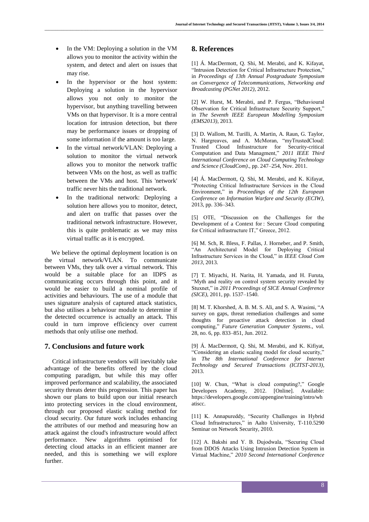- In the VM: Deploying a solution in the VM allows you to monitor the activity within the system, and detect and alert on issues that may rise.
- In the hypervisor or the host system: Deploying a solution in the hypervisor allows you not only to monitor the hypervisor, but anything travelling between VMs on that hypervisor. It is a more central location for intrusion detection, but there may be performance issues or dropping of some information if the amount is too large.
- In the virtual network/VLAN: Deploying a solution to monitor the virtual network allows you to monitor the network traffic between VMs on the host, as well as traffic between the VMs and host. This 'network' traffic never hits the traditional network.
- In the traditional network: Deploying a solution here allows you to monitor, detect, and alert on traffic that passes over the traditional network infrastructure. However, this is quite problematic as we may miss virtual traffic as it is encrypted.

We believe the optimal deployment location is on the virtual network/VLAN. To communicate between VMs, they talk over a virtual network. This would be a suitable place for an IDPS as communicating occurs through this point, and it would be easier to build a nominal profile of activities and behaviours. The use of a module that uses signature analysis of captured attack statistics, but also utilises a behaviour module to determine if the detected occurrence is actually an attack. This could in turn improve efficiency over current methods that only utilise one method.

# **7. Conclusions and future work**

Critical infrastructure vendors will inevitably take advantage of the benefits offered by the cloud computing paradigm, but while this may offer improved performance and scalability, the associated security threats deter this progression. This paper has shown our plans to build upon our initial research into protecting services in the cloud environment, through our proposed elastic scaling method for cloud security. Our future work includes enhancing the attributes of our method and measuring how an attack against the cloud's infrastructure would affect performance. New algorithms optimised for detecting cloud attacks in an efficient manner are needed, and this is something we will explore further.

# **8. References**

**\_\_\_\_\_\_\_\_\_\_\_\_\_\_\_\_\_\_\_\_\_\_\_\_\_\_\_\_\_\_\_\_\_\_\_\_\_\_\_\_\_\_\_\_\_\_\_\_\_\_\_\_\_\_\_\_\_\_\_\_\_\_\_\_\_\_\_\_\_\_\_\_\_\_\_\_\_\_\_\_\_\_\_\_\_\_\_\_\_\_\_\_\_\_\_\_\_\_\_\_\_\_\_\_\_\_\_\_\_\_\_\_\_\_\_\_\_\_\_\_\_\_\_\_\_\_\_\_\_\_\_\_\_\_\_\_\_\_\_\_\_\_\_\_\_\_\_\_\_\_**

[1] Á. MacDermott, Q. Shi, M. Merabti, and K. Kifayat, "Intrusion Detection for Critical Infrastructure Protection," in *Proceedings of 13th Annual Postgraduate Symposium on Convergence of Telecommunications, Networking and Broadcasting (PGNet 2012)*, 2012.

[2] W. Hurst, M. Merabti, and P. Fergus, "Behavioural Observation for Critical Infrastructure Security Support," in *The Seventh IEEE European Modelling Symposium (EMS2013)*, 2013.

[3] D. Wallom, M. Turilli, A. Martin, A. Raun, G. Taylor, N. Hargreaves, and A. McMoran, "myTrustedCloud: Trusted Cloud Infrastructure for Security-critical Computation and Data Managment," *2011 IEEE Third International Conference on Cloud Computing Technology and Science (CloudCom)*., pp. 247–254, Nov. 2011.

[4] Á. MacDermott, Q. Shi, M. Merabti, and K. Kifayat, "Protecting Critical Infrastructure Services in the Cloud Environment," in *Proceedings of the 12th European Conference on Information Warfare and Security (ECIW),* 2013, pp. 336–343.

[5] OTE, "Discussion on the Challenges for the Development of a Context for : Secure Cloud computing for Critical infrastructure IT," Greece, 2012.

[6] M. Sch, R. Bless, F. Pallas, J. Horneber, and P. Smith, "An Architectural Model for Deploying Critical Infrastructure Services in the Cloud," in *IEEE Cloud Com 2013*, 2013.

[7] T. Miyachi, H. Narita, H. Yamada, and H. Furuta, "Myth and reality on control system security revealed by Stuxnet," in *2011 Proceedings of SICE Annual Conference (SICE)*, 2011, pp. 1537–1540.

[8] M. T. Khorshed, A. B. M. S. Ali, and S. A. Wasimi, "A survey on gaps, threat remediation challenges and some thoughts for proactive attack detection in cloud computing," *Future Generation Computer Systems*., vol. 28, no. 6, pp. 833–851, Jun. 2012.

[9] Á. MacDermott, Q. Shi, M. Merabti, and K. Kifiyat, "Considering an elastic scaling model for cloud security," in *The 8th International Conference for Internet Technology and Secured Transactions (ICITST-2013)*, 2013.

[10] W. Chun, "What is cloud computing?," Google Developers Academy, 2012. [Online]. Available: https://developers.google.com/appengine/training/intro/wh atiscc.

[11] K. Annapureddy, "Security Challenges in Hybrid Cloud Infrastructures," in Aalto University, T-110.5290 Seminar on Network Security, 2010.

[12] A. Bakshi and Y. B. Dujodwala, "Securing Cloud from DDOS Attacks Using Intrusion Detection System in Virtual Machine," *2010 Second International Conference*